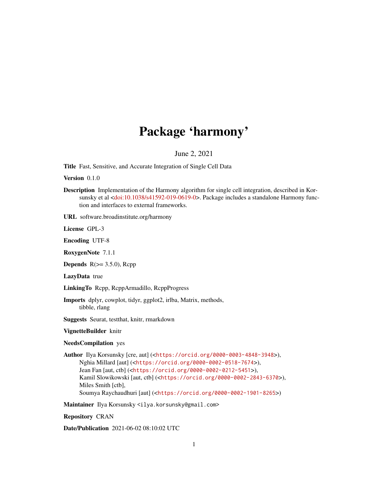## Package 'harmony'

June 2, 2021

Title Fast, Sensitive, and Accurate Integration of Single Cell Data

Version 0.1.0

Description Implementation of the Harmony algorithm for single cell integration, described in Kor-sunsky et al [<doi:10.1038/s41592-019-0619-0>](https://doi.org/10.1038/s41592-019-0619-0). Package includes a standalone Harmony function and interfaces to external frameworks.

URL software.broadinstitute.org/harmony

License GPL-3

Encoding UTF-8

RoxygenNote 7.1.1

**Depends**  $R$ ( $> = 3.5.0$ ),  $Rcpp$ 

LazyData true

LinkingTo Rcpp, RcppArmadillo, RcppProgress

Imports dplyr, cowplot, tidyr, ggplot2, irlba, Matrix, methods, tibble, rlang

Suggests Seurat, testthat, knitr, rmarkdown

VignetteBuilder knitr

NeedsCompilation yes

Author Ilya Korsunsky [cre, aut] (<<https://orcid.org/0000-0003-4848-3948>>), Nghia Millard [aut] (<<https://orcid.org/0000-0002-0518-7674>>), Jean Fan [aut, ctb] (<<https://orcid.org/0000-0002-0212-5451>>), Kamil Slowikowski [aut, ctb] (<<https://orcid.org/0000-0002-2843-6370>>), Miles Smith [ctb], Soumya Raychaudhuri [aut] (<<https://orcid.org/0000-0002-1901-8265>>)

Maintainer Ilya Korsunsky <ilya.korsunsky@gmail.com>

Repository CRAN

Date/Publication 2021-06-02 08:10:02 UTC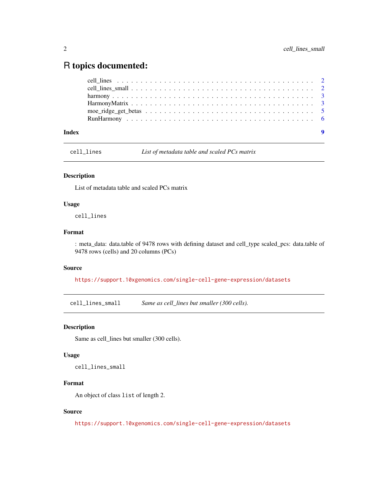### <span id="page-1-0"></span>R topics documented:

| Index |  |
|-------|--|
|       |  |
|       |  |
|       |  |
|       |  |
|       |  |
|       |  |

cell\_lines *List of metadata table and scaled PCs matrix*

### Description

List of metadata table and scaled PCs matrix

### Usage

cell\_lines

### Format

: meta\_data: data.table of 9478 rows with defining dataset and cell\_type scaled\_pcs: data.table of 9478 rows (cells) and 20 columns (PCs)

### Source

<https://support.10xgenomics.com/single-cell-gene-expression/datasets>

cell\_lines\_small *Same as cell\_lines but smaller (300 cells).*

### Description

Same as cell\_lines but smaller (300 cells).

### Usage

cell\_lines\_small

### Format

An object of class list of length 2.

### Source

<https://support.10xgenomics.com/single-cell-gene-expression/datasets>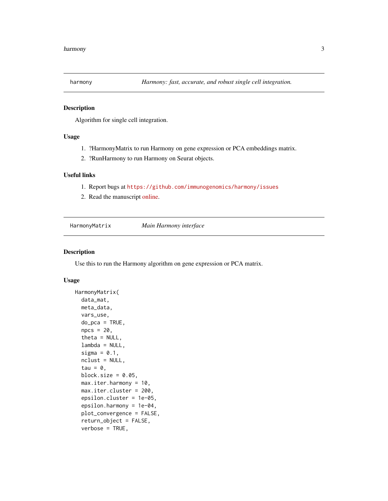<span id="page-2-0"></span>

### Description

Algorithm for single cell integration.

### Usage

- 1. ?HarmonyMatrix to run Harmony on gene expression or PCA embeddings matrix.
- 2. ?RunHarmony to run Harmony on Seurat objects.

### Useful links

- 1. Report bugs at <https://github.com/immunogenomics/harmony/issues>
- 2. Read the manuscript [online.](https://www.nature.com/articles/s41592-019-0619-0)

HarmonyMatrix *Main Harmony interface*

#### Description

Use this to run the Harmony algorithm on gene expression or PCA matrix.

### Usage

```
HarmonyMatrix(
  data_mat,
 meta_data,
  vars_use,
  do_pca = TRUE,npcs = 20,
  theta = NULL,
  lambda = NULL,sigma = 0.1,
  ncluster = NULL,tau = 0,
  block.size = 0.05,
  max.iter.harmony = 10,
 max.iter.cluster = 200,
  epsilon.cluster = 1e-05,
  epsilon.harmony = 1e-04,
  plot_convergence = FALSE,
  return_object = FALSE,
  verbose = TRUE,
```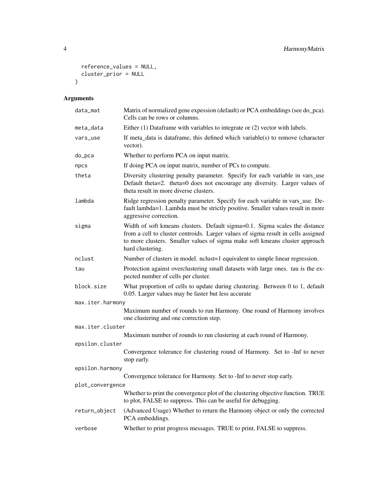```
reference_values = NULL,
  cluster_prior = NULL
\mathcal{L}
```
### Arguments

| data_mat         | Matrix of normalized gene expession (default) or PCA embeddings (see do_pca).<br>Cells can be rows or columns.                                                                                                                                                      |  |  |  |
|------------------|---------------------------------------------------------------------------------------------------------------------------------------------------------------------------------------------------------------------------------------------------------------------|--|--|--|
| meta_data        | Either (1) Dataframe with variables to integrate or (2) vector with labels.                                                                                                                                                                                         |  |  |  |
| vars_use         | If meta_data is dataframe, this defined which variable(s) to remove (character<br>vector).                                                                                                                                                                          |  |  |  |
| do_pca           | Whether to perform PCA on input matrix.                                                                                                                                                                                                                             |  |  |  |
| npcs             | If doing PCA on input matrix, number of PCs to compute.                                                                                                                                                                                                             |  |  |  |
| theta            | Diversity clustering penalty parameter. Specify for each variable in vars_use<br>Default theta=2. theta=0 does not encourage any diversity. Larger values of<br>theta result in more diverse clusters.                                                              |  |  |  |
| lambda           | Ridge regression penalty parameter. Specify for each variable in vars_use. De-<br>fault lambda=1. Lambda must be strictly positive. Smaller values result in more<br>aggressive correction.                                                                         |  |  |  |
| sigma            | Width of soft kmeans clusters. Default sigma=0.1. Sigma scales the distance<br>from a cell to cluster centroids. Larger values of sigma result in cells assigned<br>to more clusters. Smaller values of sigma make soft kmeans cluster approach<br>hard clustering. |  |  |  |
| nclust           | Number of clusters in model. nclust=1 equivalent to simple linear regression.                                                                                                                                                                                       |  |  |  |
| tau              | Protection against overclustering small datasets with large ones. tau is the ex-<br>pected number of cells per cluster.                                                                                                                                             |  |  |  |
| block.size       | What proportion of cells to update during clustering. Between 0 to 1, default<br>0.05. Larger values may be faster but less accurate                                                                                                                                |  |  |  |
| max.iter.harmony |                                                                                                                                                                                                                                                                     |  |  |  |
|                  | Maximum number of rounds to run Harmony. One round of Harmony involves<br>one clustering and one correction step.                                                                                                                                                   |  |  |  |
| max.iter.cluster |                                                                                                                                                                                                                                                                     |  |  |  |
|                  | Maximum number of rounds to run clustering at each round of Harmony.                                                                                                                                                                                                |  |  |  |
| epsilon.cluster  | Convergence tolerance for clustering round of Harmony. Set to -Inf to never<br>stop early.                                                                                                                                                                          |  |  |  |
| epsilon.harmony  |                                                                                                                                                                                                                                                                     |  |  |  |
|                  | Convergence tolerance for Harmony. Set to -Inf to never stop early.                                                                                                                                                                                                 |  |  |  |
| plot_convergence |                                                                                                                                                                                                                                                                     |  |  |  |
|                  | Whether to print the convergence plot of the clustering objective function. TRUE<br>to plot, FALSE to suppress. This can be useful for debugging.                                                                                                                   |  |  |  |
| return_object    | (Advanced Usage) Whether to return the Harmony object or only the corrected<br>PCA embeddings.                                                                                                                                                                      |  |  |  |
| verbose          | Whether to print progress messages. TRUE to print, FALSE to suppress.                                                                                                                                                                                               |  |  |  |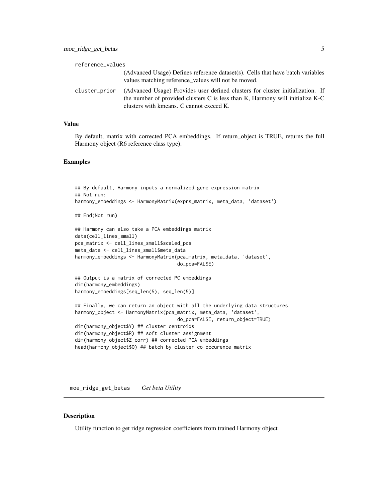<span id="page-4-0"></span>

| reference_values |                                                                                                                                                                                                             |
|------------------|-------------------------------------------------------------------------------------------------------------------------------------------------------------------------------------------------------------|
|                  | (Advanced Usage) Defines reference dataset(s). Cells that have batch variables<br>values matching reference values will not be moved.                                                                       |
| cluster_prior    | (Advanced Usage) Provides user defined clusters for cluster initialization. If<br>the number of provided clusters C is less than K, Harmony will initialize K-C<br>clusters with kmeans. C cannot exceed K. |

### Value

By default, matrix with corrected PCA embeddings. If return\_object is TRUE, returns the full Harmony object (R6 reference class type).

### Examples

```
## By default, Harmony inputs a normalized gene expression matrix
## Not run:
harmony_embeddings <- HarmonyMatrix(exprs_matrix, meta_data, 'dataset')
## End(Not run)
## Harmony can also take a PCA embeddings matrix
data(cell_lines_small)
pca_matrix <- cell_lines_small$scaled_pcs
meta_data <- cell_lines_small$meta_data
harmony_embeddings <- HarmonyMatrix(pca_matrix, meta_data, 'dataset',
                                    do_pca=FALSE)
## Output is a matrix of corrected PC embeddings
dim(harmony_embeddings)
harmony_embeddings[seq_len(5), seq_len(5)]
## Finally, we can return an object with all the underlying data structures
harmony_object <- HarmonyMatrix(pca_matrix, meta_data, 'dataset',
                                    do_pca=FALSE, return_object=TRUE)
dim(harmony_object$Y) ## cluster centroids
dim(harmony_object$R) ## soft cluster assignment
dim(harmony_object$Z_corr) ## corrected PCA embeddings
head(harmony_object$O) ## batch by cluster co-occurence matrix
```
moe\_ridge\_get\_betas *Get beta Utility*

### Description

Utility function to get ridge regression coefficients from trained Harmony object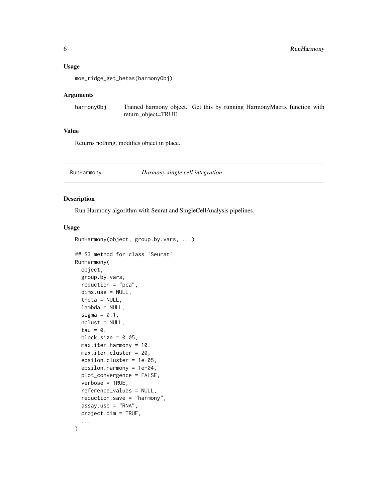#### <span id="page-5-0"></span>Usage

moe\_ridge\_get\_betas(harmonyObj)

### Arguments

harmonyObj Trained harmony object. Get this by running HarmonyMatrix function with return\_object=TRUE.

### Value

Returns nothing, modifies object in place.

### RunHarmony *Harmony single cell integration*

### Description

Run Harmony algorithm with Seurat and SingleCellAnalysis pipelines.

### Usage

```
RunHarmony(object, group.by.vars, ...)
```

```
## S3 method for class 'Seurat'
RunHarmony(
 object,
  group.by.vars,
  reduction = "pca",
  dims.use = NULL,
  theta = NULL,
  lambda = NULL,sigma = 0.1,
  nclust = NULL,
  tau = \theta,
 block.size = 0.05,
 max.iter.harmony = 10,
 max.iter.cluster = 20,
  epsilon.cluster = 1e-05,
  epsilon.harmony = 1e-04,
 plot_convergence = FALSE,
  verbose = TRUE,
  reference_values = NULL,
  reduction.save = "harmony",
  assay.use = "RNA",
 project.dim = TRUE,
  ...
\mathcal{E}
```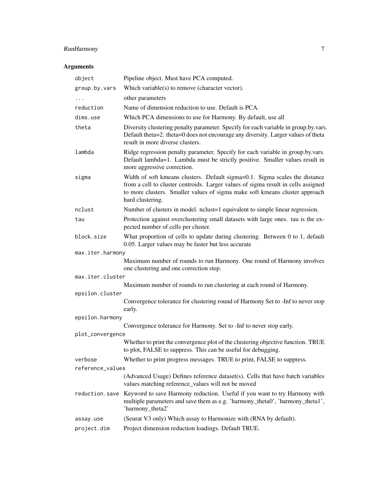### RunHarmony 7

### Arguments

| object           | Pipeline object. Must have PCA computed.                                                                                                                                                                                                                            |
|------------------|---------------------------------------------------------------------------------------------------------------------------------------------------------------------------------------------------------------------------------------------------------------------|
| group.by.vars    | Which variable(s) to remove (character vector).                                                                                                                                                                                                                     |
|                  | other parameters                                                                                                                                                                                                                                                    |
| reduction        | Name of dimension reduction to use. Default is PCA.                                                                                                                                                                                                                 |
| dims.use         | Which PCA dimensions to use for Harmony. By default, use all                                                                                                                                                                                                        |
| theta            | Diversity clustering penalty parameter. Specify for each variable in group.by.vars.<br>Default theta=2. theta=0 does not encourage any diversity. Larger values of theta<br>result in more diverse clusters.                                                        |
| lambda           | Ridge regression penalty parameter. Specify for each variable in group.by.vars.<br>Default lambda=1. Lambda must be strictly positive. Smaller values result in<br>more aggressive correction.                                                                      |
| sigma            | Width of soft kmeans clusters. Default sigma=0.1. Sigma scales the distance<br>from a cell to cluster centroids. Larger values of sigma result in cells assigned<br>to more clusters. Smaller values of sigma make soft kmeans cluster approach<br>hard clustering. |
| nclust           | Number of clusters in model. nclust=1 equivalent to simple linear regression.                                                                                                                                                                                       |
| tau              | Protection against overclustering small datasets with large ones. tau is the ex-<br>pected number of cells per cluster.                                                                                                                                             |
| block.size       | What proportion of cells to update during clustering. Between 0 to 1, default<br>0.05. Larger values may be faster but less accurate                                                                                                                                |
| max.iter.harmony |                                                                                                                                                                                                                                                                     |
|                  | Maximum number of rounds to run Harmony. One round of Harmony involves<br>one clustering and one correction step.                                                                                                                                                   |
| max.iter.cluster |                                                                                                                                                                                                                                                                     |
| epsilon.cluster  | Maximum number of rounds to run clustering at each round of Harmony.                                                                                                                                                                                                |
|                  | Convergence tolerance for clustering round of Harmony Set to -Inf to never stop<br>early.                                                                                                                                                                           |
| epsilon.harmony  |                                                                                                                                                                                                                                                                     |
|                  | Convergence tolerance for Harmony. Set to -Inf to never stop early.                                                                                                                                                                                                 |
| plot_convergence |                                                                                                                                                                                                                                                                     |
|                  | Whether to print the convergence plot of the clustering objective function. TRUE<br>to plot, FALSE to suppress. This can be useful for debugging.                                                                                                                   |
| verbose          | Whether to print progress messages. TRUE to print, FALSE to suppress.                                                                                                                                                                                               |
| reference_values |                                                                                                                                                                                                                                                                     |
|                  | (Advanced Usage) Defines reference dataset(s). Cells that have batch variables<br>values matching reference_values will not be moved                                                                                                                                |
| reduction.save   | Keyword to save Harmony reduction. Useful if you want to try Harmony with<br>multiple parameters and save them as e.g. 'harmony_theta0', 'harmony_theta1',<br>'harmony_theta2'                                                                                      |
| assay.use        | (Seurat V3 only) Which assay to Harmonize with (RNA by default).                                                                                                                                                                                                    |
| project.dim      | Project dimension reduction loadings. Default TRUE.                                                                                                                                                                                                                 |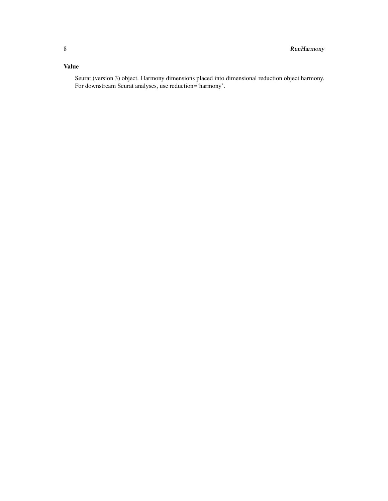### Value

Seurat (version 3) object. Harmony dimensions placed into dimensional reduction object harmony. For downstream Seurat analyses, use reduction='harmony'.